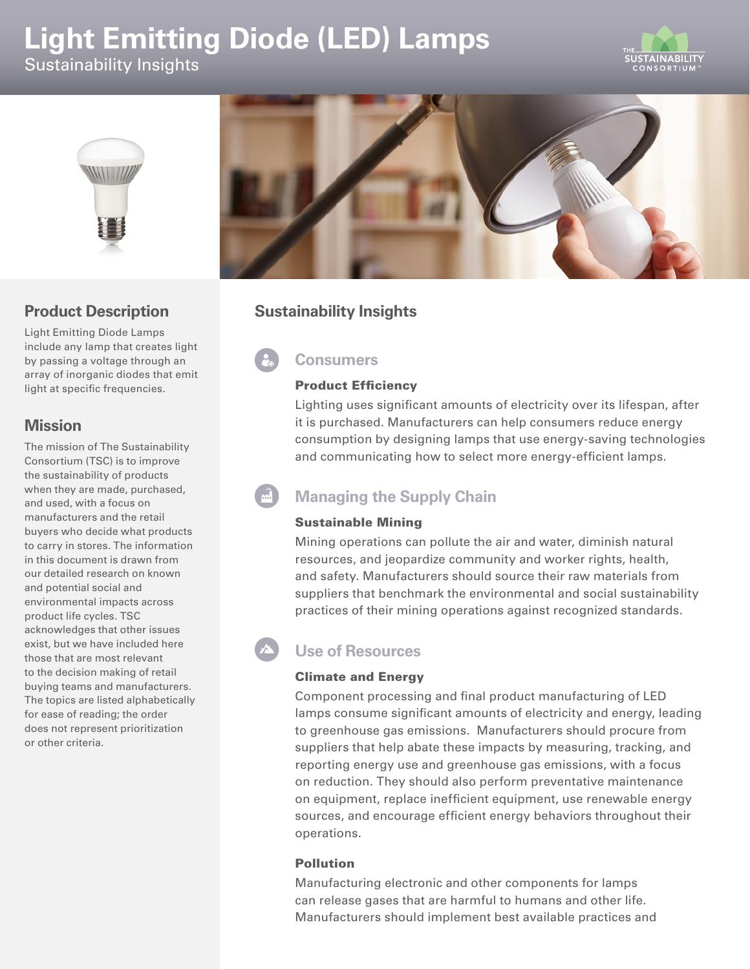# **Light Emitting Diode (LED) Lamps**  Sustainability Insights





### **Product Description**

Light Emitting Diode Lamps include any lamp that creates light by passing a voltage through an array of inorganic diodes that emit light at specific frequencies.

### **Mission**

The mission of The Sustainability Consortium (TSC) is to improve the sustainability of products when they are made, purchased, and used, with a focus on manufacturers and the retail buyers who decide what products to carry in stores. The information in this document is drawn from our detailed research on known and potential social and environmental impacts across product life cycles. TSC acknowledges that other issues exist, but we have included here those that are most relevant to the decision making of retail buying teams and manufacturers. The topics are listed alphabetically for ease of reading; the order does not represent prioritization or other criteria.



# **Sustainability Insights**

# **Consumers**

#### Product Efficiency

Lighting uses significant amounts of electricity over its lifespan, after it is purchased. Manufacturers can help consumers reduce energy consumption by designing lamps that use energy-saving technologies and communicating how to select more energy-efficient lamps.

# **Managing the Supply Chain**

#### Sustainable Mining

Mining operations can pollute the air and water, diminish natural resources, and jeopardize community and worker rights, health, and safety. Manufacturers should source their raw materials from suppliers that benchmark the environmental and social sustainability practices of their mining operations against recognized standards.

## **Use of Resources**

#### Climate and Energy

Component processing and final product manufacturing of LED lamps consume significant amounts of electricity and energy, leading to greenhouse gas emissions. Manufacturers should procure from suppliers that help abate these impacts by measuring, tracking, and reporting energy use and greenhouse gas emissions, with a focus on reduction. They should also perform preventative maintenance on equipment, replace inefficient equipment, use renewable energy sources, and encourage efficient energy behaviors throughout their operations.

#### Pollution

Manufacturing electronic and other components for lamps can release gases that are harmful to humans and other life. Manufacturers should implement best available practices and